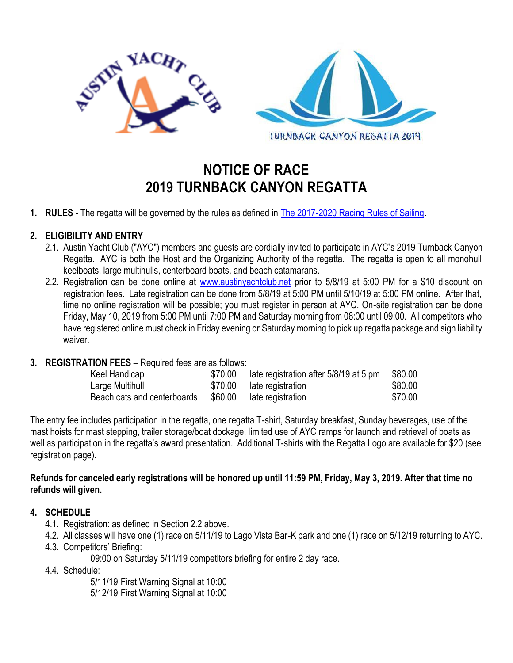

# **NOTICE OF RACE 2019 TURNBACK CANYON REGATTA**

**1. RULES** - The regatta will be governed by the rules as defined in [The 2017-2020 Racing Rules of Sailing.](https://www.austinyachtclub.net/wp-content/uploads/WorldSailingRRS20172020new-24067.pdf)

### **2. ELIGIBILITY AND ENTRY**

- 2.1. Austin Yacht Club ("AYC") members and guests are cordially invited to participate in AYC's 2019 Turnback Canyon Regatta. AYC is both the Host and the Organizing Authority of the regatta. The regatta is open to all monohull keelboats, large multihulls, centerboard boats, and beach catamarans.
- 2.2. Registration can be done online at [www.austinyachtclub.net](http://www.austinyachtclub.net/) prior to 5/8/19 at 5:00 PM for a \$10 discount on registration fees. Late registration can be done from 5/8/19 at 5:00 PM until 5/10/19 at 5:00 PM online. After that, time no online registration will be possible; you must register in person at AYC. On-site registration can be done Friday, May 10, 2019 from 5:00 PM until 7:00 PM and Saturday morning from 08:00 until 09:00. All competitors who have registered online must check in Friday evening or Saturday morning to pick up regatta package and sign liability waiver.

#### **3. REGISTRATION FEES** – Required fees are as follows:

| Keel Handicap               | \$70.00 | late registration after 5/8/19 at 5 pm | \$80.00 |
|-----------------------------|---------|----------------------------------------|---------|
| Large Multihull             | \$70.00 | late registration                      | \$80.00 |
| Beach cats and centerboards | \$60.00 | late registration                      | \$70.00 |

The entry fee includes participation in the regatta, one regatta T-shirt, Saturday breakfast, Sunday beverages, use of the mast hoists for mast stepping, trailer storage/boat dockage, limited use of AYC ramps for launch and retrieval of boats as well as participation in the regatta's award presentation. Additional T-shirts with the Regatta Logo are available for \$20 (see registration page).

#### **Refunds for canceled early registrations will be honored up until 11:59 PM, Friday, May 3, 2019. After that time no refunds will given.**

#### **4. SCHEDULE**

- 4.1. Registration: as defined in Section 2.2 above.
- 4.2. All classes will have one (1) race on 5/11/19 to Lago Vista Bar-K park and one (1) race on 5/12/19 returning to AYC.
- 4.3. Competitors' Briefing:

09:00 on Saturday 5/11/19 competitors briefing for entire 2 day race.

4.4. Schedule:

5/11/19 First Warning Signal at 10:00 5/12/19 First Warning Signal at 10:00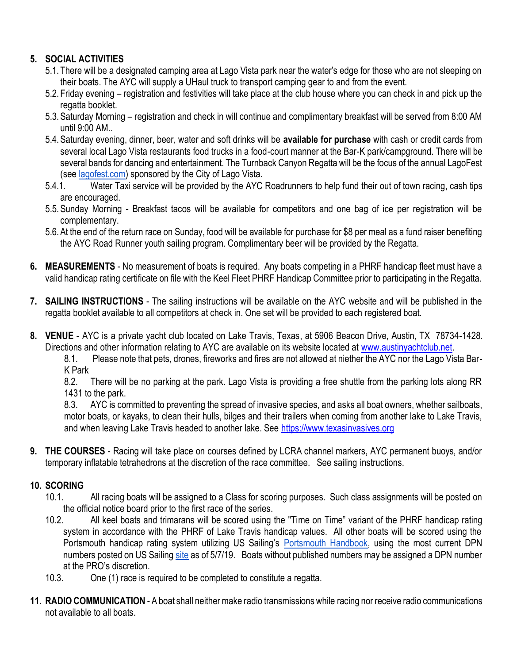## **5. SOCIAL ACTIVITIES**

- 5.1. There will be a designated camping area at Lago Vista park near the water's edge for those who are not sleeping on their boats. The AYC will supply a UHaul truck to transport camping gear to and from the event.
- 5.2. Friday evening registration and festivities will take place at the club house where you can check in and pick up the regatta booklet.
- 5.3.Saturday Morning registration and check in will continue and complimentary breakfast will be served from 8:00 AM until 9:00 AM..
- 5.4.Saturday evening, dinner, beer, water and soft drinks will be **available for purchase** with cash or credit cards from several local Lago Vista restaurants food trucks in a food-court manner at the Bar-K park/campground. There will be several bands for dancing and entertainment. The Turnback Canyon Regatta will be the focus of the annual LagoFest (see *lagofest.com*) sponsored by the City of Lago Vista.
- 5.4.1. Water Taxi service will be provided by the AYC Roadrunners to help fund their out of town racing, cash tips are encouraged.
- 5.5.Sunday Morning Breakfast tacos will be available for competitors and one bag of ice per registration will be complementary.
- 5.6.At the end of the return race on Sunday, food will be available for purchase for \$8 per meal as a fund raiser benefiting the AYC Road Runner youth sailing program. Complimentary beer will be provided by the Regatta.
- **6. MEASUREMENTS** No measurement of boats is required. Any boats competing in a PHRF handicap fleet must have a valid handicap rating certificate on file with the Keel Fleet PHRF Handicap Committee prior to participating in the Regatta.
- **7. SAILING INSTRUCTIONS** The sailing instructions will be available on the AYC website and will be published in the regatta booklet available to all competitors at check in. One set will be provided to each registered boat.
- **8. VENUE** AYC is a private yacht club located on Lake Travis, Texas, at 5906 Beacon Drive, Austin, TX 78734-1428. Directions and other information relating to AYC are available on its website located at [www.austinyachtclub.net.](http://www.austinyachtclub.net/)

8.1. Please note that pets, drones, fireworks and fires are not allowed at niether the AYC nor the Lago Vista Bar-K Park

8.2. There will be no parking at the park. Lago Vista is providing a free shuttle from the parking lots along RR 1431 to the park.

8.3. AYC is committed to preventing the spread of invasive species, and asks all boat owners, whether sailboats, motor boats, or kayaks, to clean their hulls, bilges and their trailers when coming from another lake to Lake Travis, and when leaving Lake Travis headed to another lake. See [https://www.texasinvasives.org](https://www.texasinvasives.org/)

**9. THE COURSES** - Racing will take place on courses defined by LCRA channel markers, AYC permanent buoys, and/or temporary inflatable tetrahedrons at the discretion of the race committee. See sailing instructions.

## **10. SCORING**

- 10.1. All racing boats will be assigned to a Class for scoring purposes. Such class assignments will be posted on the official notice board prior to the first race of the series.
- 10.2. All keel boats and trimarans will be scored using the "Time on Time" variant of the PHRF handicap rating system in accordance with the PHRF of Lake Travis handicap values. All other boats will be scored using the Portsmouth handicap rating system utilizing US Sailing's [Portsmouth Handbook,](https://www.ussailing.org/wp-content/uploads/2018/01/2017-North-American-Portsmouth-Yardstick-Handbook.pdf) using the most current DPN numbers posted on US Sailing [site](http://www.ussailing.org/racing/offshore-big-boats/portsmouth-precalculated-classes/) as of 5/7/19. Boats without published numbers may be assigned a DPN number at the PRO's discretion.
- 10.3. One (1) race is required to be completed to constitute a regatta.
- **11. RADIO COMMUNICATION** A boat shall neither make radio transmissions while racing nor receive radio communications not available to all boats.